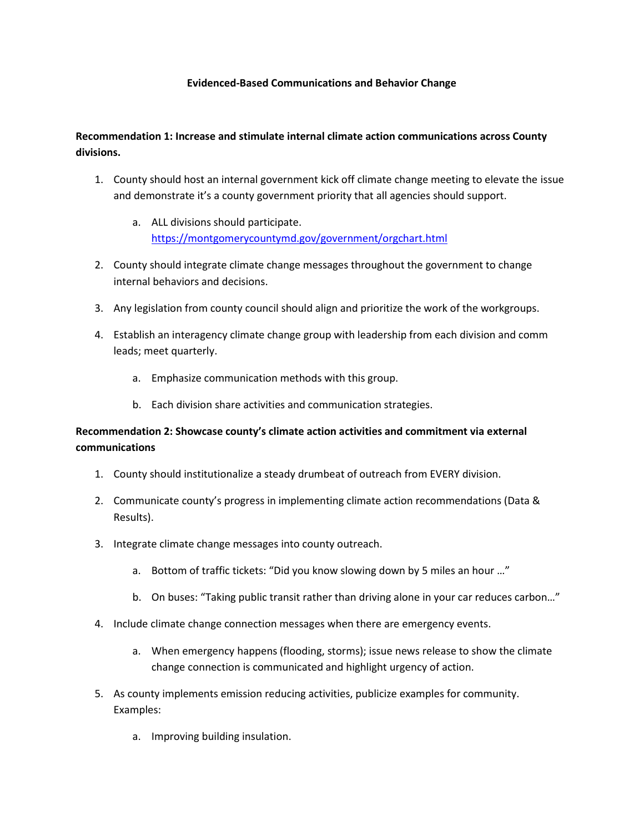#### **Evidenced-Based Communications and Behavior Change**

### **Recommendation 1: Increase and stimulate internal climate action communications across County divisions.**

- 1. County should host an internal government kick off climate change meeting to elevate the issue and demonstrate it's a county government priority that all agencies should support.
	- a. ALL divisions should participate. <https://montgomerycountymd.gov/government/orgchart.html>
- 2. County should integrate climate change messages throughout the government to change internal behaviors and decisions.
- 3. Any legislation from county council should align and prioritize the work of the workgroups.
- 4. Establish an interagency climate change group with leadership from each division and comm leads; meet quarterly.
	- a. Emphasize communication methods with this group.
	- b. Each division share activities and communication strategies.

## **Recommendation 2: Showcase county's climate action activities and commitment via external communications**

- 1. County should institutionalize a steady drumbeat of outreach from EVERY division.
- 2. Communicate county's progress in implementing climate action recommendations (Data & Results).
- 3. Integrate climate change messages into county outreach.
	- a. Bottom of traffic tickets: "Did you know slowing down by 5 miles an hour …"
	- b. On buses: "Taking public transit rather than driving alone in your car reduces carbon..."
- 4. Include climate change connection messages when there are emergency events.
	- a. When emergency happens (flooding, storms); issue news release to show the climate change connection is communicated and highlight urgency of action.
- 5. As county implements emission reducing activities, publicize examples for community. Examples:
	- a. Improving building insulation.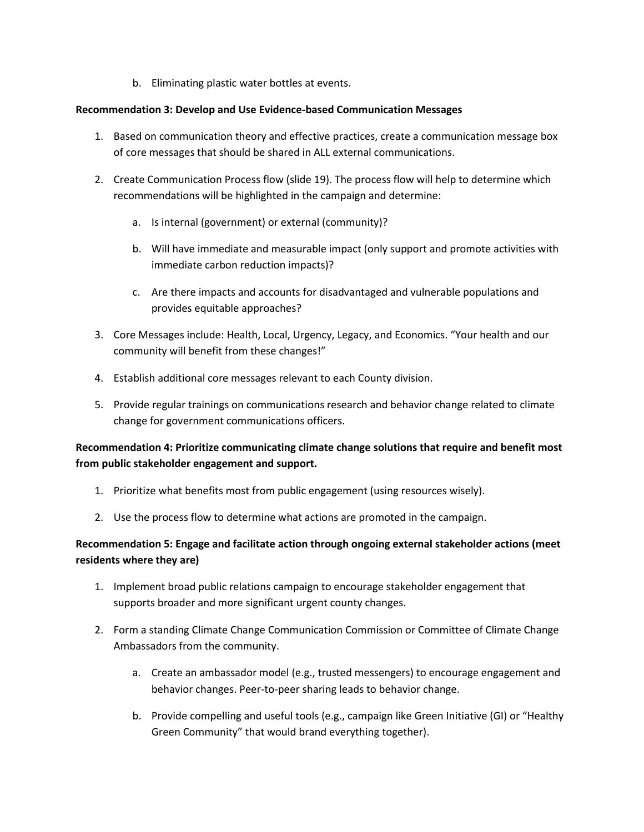b. Eliminating plastic water bottles at events.

#### **Recommendation 3: Develop and Use Evidence-based Communication Messages**

- 1. Based on communication theory and effective practices, create a communication message box of core messages that should be shared in ALL external communications.
- 2. Create Communication Process flow (slide 19). The process flow will help to determine which recommendations will be highlighted in the campaign and determine:
	- a. Is internal (government) or external (community)?
	- b. Will have immediate and measurable impact (only support and promote activities with immediate carbon reduction impacts)?
	- c. Are there impacts and accounts for disadvantaged and vulnerable populations and provides equitable approaches?
- 3. Core Messages include: Health, Local, Urgency, Legacy, and Economics. "Your health and our community will benefit from these changes!"
- 4. Establish additional core messages relevant to each County division.
- 5. Provide regular trainings on communications research and behavior change related to climate change for government communications officers.

# **Recommendation 4: Prioritize communicating climate change solutions that require and benefit most from public stakeholder engagement and support.**

- 1. Prioritize what benefits most from public engagement (using resources wisely).
- 2. Use the process flow to determine what actions are promoted in the campaign.

# **Recommendation 5: Engage and facilitate action through ongoing external stakeholder actions (meet residents where they are)**

- 1. Implement broad public relations campaign to encourage stakeholder engagement that supports broader and more significant urgent county changes.
- 2. Form a standing Climate Change Communication Commission or Committee of Climate Change Ambassadors from the community.
	- a. Create an ambassador model (e.g., trusted messengers) to encourage engagement and behavior changes. Peer-to-peer sharing leads to behavior change.
	- b. Provide compelling and useful tools (e.g., campaign like Green Initiative (GI) or "Healthy Green Community" that would brand everything together).